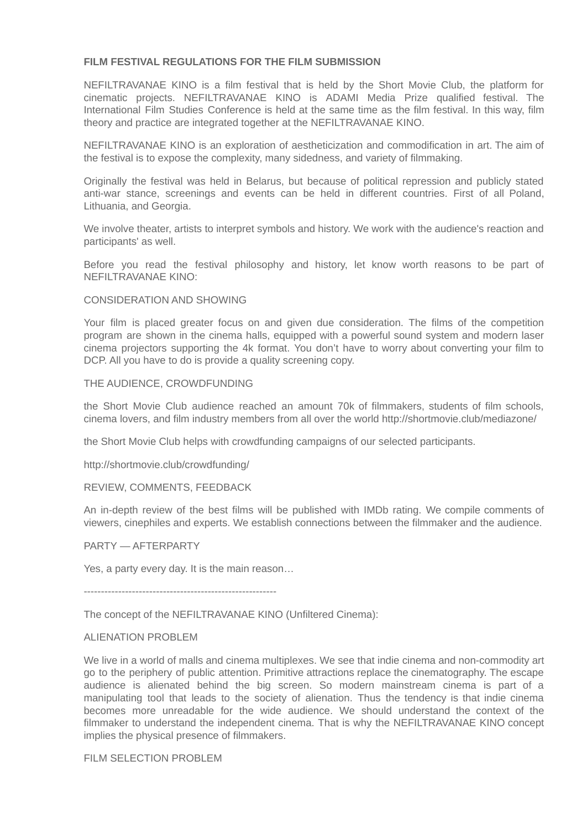### **FILM FESTIVAL REGULATIONS FOR THE FILM SUBMISSION**

NEFILTRAVANAE KINO is a film festival that is held by the Short Movie Club, the platform for cinematic projects. NEFILTRAVANAE KINO is ADAMI Media Prize qualified festival. The International Film Studies Conference is held at the same time as the film festival. In this way, film theory and practice are integrated together at the NEFILTRAVANAE KINO.

NEFILTRAVANAE KINO is an exploration of aestheticization and commodification in art. The aim of the festival is to expose the complexity, many sidedness, and variety of filmmaking.

Originally the festival was held in Belarus, but because of political repression and publicly stated anti-war stance, screenings and events can be held in different countries. First of all Poland, Lithuania, and Georgia.

We involve theater, artists to interpret symbols and history. We work with the audience's reaction and participants' as well.

Before you read the festival philosophy and history, let know worth reasons to be part of NEFILTRAVANAE KINO:

#### CONSIDERATION AND SHOWING

Your film is placed greater focus on and given due consideration. The films of the competition program are shown in the cinema halls, equipped with a powerful sound system and modern laser cinema projectors supporting the 4k format. You don't have to worry about converting your film to DCP. All you have to do is provide a quality screening copy.

#### THE AUDIENCE, CROWDFUNDING

the Short Movie Club audience reached an amount 70k of filmmakers, students of film schools, cinema lovers, and film industry members from all over the world http://shortmovie.club/mediazone/

the Short Movie Club helps with crowdfunding campaigns of our selected participants.

http://shortmovie.club/crowdfunding/

#### REVIEW, COMMENTS, FEEDBACK

An in-depth review of the best films will be published with IMDb rating. We compile comments of viewers, cinephiles and experts. We establish connections between the filmmaker and the audience.

#### PARTY — AFTERPARTY

Yes, a party every day. It is the main reason…

--------------------------------------------------------

The concept of the NEFILTRAVANAE KINO (Unfiltered Cinema):

#### ALIENATION PROBLEM

We live in a world of malls and cinema multiplexes. We see that indie cinema and non-commodity art go to the periphery of public attention. Primitive attractions replace the cinematography. The escape audience is alienated behind the big screen. So modern mainstream cinema is part of a manipulating tool that leads to the society of alienation. Thus the tendency is that indie cinema becomes more unreadable for the wide audience. We should understand the context of the filmmaker to understand the independent cinema. That is why the NEFILTRAVANAE KINO concept implies the physical presence of filmmakers.

FILM SELECTION PROBLEM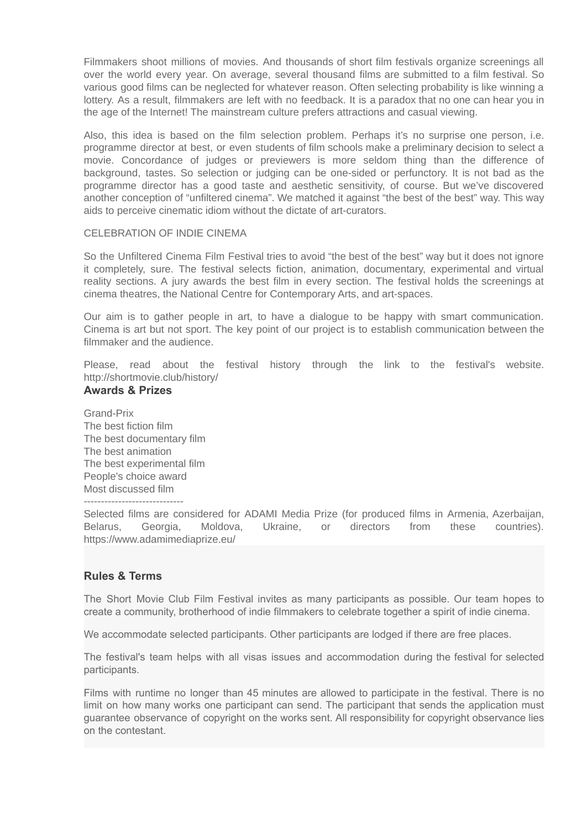Filmmakers shoot millions of movies. And thousands of short film festivals organize screenings all over the world every year. On average, several thousand films are submitted to a film festival. So various good films can be neglected for whatever reason. Often selecting probability is like winning a lottery. As a result, filmmakers are left with no feedback. It is a paradox that no one can hear you in the age of the Internet! The mainstream culture prefers attractions and casual viewing.

Also, this idea is based on the film selection problem. Perhaps it's no surprise one person, i.e. programme director at best, or even students of film schools make a preliminary decision to select a movie. Сoncordance of judges or previewers is more seldom thing than the difference of background, tastes. So selection or judging can be one-sided or perfunctory. It is not bad as the programme director has a good taste and aesthetic sensitivity, of course. But we've discovered another conception of "unfiltered cinema". We matched it against "the best of the best" way. This way aids to perceive cinematic idiom without the dictate of art-curators.

## CELEBRATION OF INDIE CINEMA

So the Unfiltered Cinema Film Festival tries to avoid "the best of the best" way but it does not ignore it completely, sure. The festival selects fiction, animation, documentary, experimental and virtual reality sections. A jury awards the best film in every section. The festival holds the screenings at cinema theatres, the National Centre for Contemporary Arts, and art-spaces.

Our aim is to gather people in art, to have a dialogue to be happy with smart communication. Cinema is art but not sport. The key point of our project is to establish communication between the filmmaker and the audience.

Please, read about the festival history through the link to the festival's website. http://shortmovie.club/history/

## **Awards & Prizes**

Grand-Prix The best fiction film The best documentary film The best animation The best experimental film People's choice award Most discussed film

-----------------------------

Selected films are considered for ADAMI Media Prize (for produced films in Armenia, Azerbaijan, Belarus, Georgia, Moldova, Ukraine, or directors from these countries). https://www.adamimediaprize.eu/

# **Rules & Terms**

The Short Movie Club Film Festival invites as many participants as possible. Our team hopes to create a community, brotherhood of indie filmmakers to celebrate together a spirit of indie cinema.

We accommodate selected participants. Other participants are lodged if there are free places.

The festival's team helps with all visas issues and accommodation during the festival for selected participants.

Films with runtime no longer than 45 minutes are allowed to participate in the festival. There is no limit on how many works one participant can send. The participant that sends the application must guarantee observance of copyright on the works sent. All responsibility for copyright observance lies on the contestant.